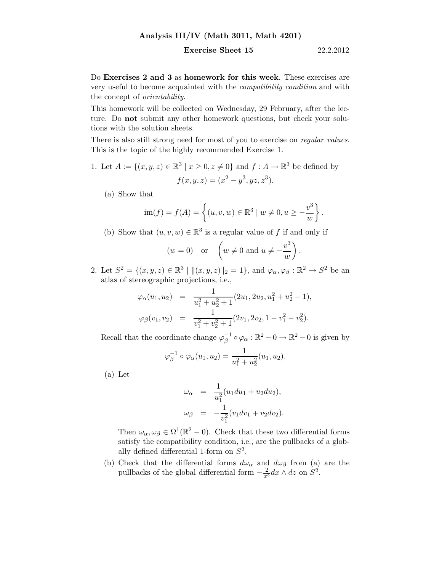## Analysis III/IV (Math 3011, Math 4201)

## **Exercise Sheet 15** 22.2.2012

Do Exercises 2 and 3 as homework for this week. These exercises are very useful to become acquainted with the compatibitily condition and with the concept of orientability.

This homework will be collected on Wednesday, 29 February, after the lecture. Do not submit any other homework questions, but check your solutions with the solution sheets.

There is also still strong need for most of you to exercise on *regular values*. This is the topic of the highly recommended Exercise 1.

- 1. Let  $A := \{(x, y, z) \in \mathbb{R}^3 \mid x \geq 0, z \neq 0\}$  and  $f : A \to \mathbb{R}^3$  be defined by  $f(x, y, z) = (x^2 - y^3, yz, z^3).$ 
	- (a) Show that

$$
\text{im}(f) = f(A) = \left\{ (u, v, w) \in \mathbb{R}^3 \mid w \neq 0, u \ge -\frac{v^3}{w} \right\}.
$$

(b) Show that  $(u, v, w) \in \mathbb{R}^3$  is a regular value of f if and only if

$$
(w = 0)
$$
 or  $\left(w \neq 0 \text{ and } u \neq -\frac{v^3}{w}\right)$ .

2. Let  $S^2 = \{(x, y, z) \in \mathbb{R}^3 \mid ||(x, y, z)||_2 = 1\}$ , and  $\varphi_\alpha, \varphi_\beta : \mathbb{R}^2 \to S^2$  be an atlas of stereographic projections, i.e.,

$$
\varphi_{\alpha}(u_1, u_2) = \frac{1}{u_1^2 + u_2^2 + 1} (2u_1, 2u_2, u_1^2 + u_2^2 - 1),
$$
  

$$
\varphi_{\beta}(v_1, v_2) = \frac{1}{v_1^2 + v_2^2 + 1} (2v_1, 2v_2, 1 - v_1^2 - v_2^2).
$$

Recall that the coordinate change  $\varphi^{-1}_{\beta} \circ \varphi_{\alpha} : \mathbb{R}^2 - 0 \to \mathbb{R}^2 - 0$  is given by

$$
\varphi_{\beta}^{-1} \circ \varphi_{\alpha}(u_1, u_2) = \frac{1}{u_1^2 + u_2^2}(u_1, u_2).
$$

(a) Let

$$
\omega_{\alpha} = \frac{1}{u_1^2} (u_1 du_1 + u_2 du_2),
$$
  

$$
\omega_{\beta} = -\frac{1}{v_1^2} (v_1 dv_1 + v_2 dv_2).
$$

Then  $\omega_{\alpha}, \omega_{\beta} \in \Omega^1(\mathbb{R}^2 - 0)$ . Check that these two differential forms satisfy the compatibility condition, i.e., are the pullbacks of a globally defined differential 1-form on  $S^2$ .

(b) Check that the differential forms  $d\omega_{\alpha}$  and  $d\omega_{\beta}$  from (a) are the pullbacks of the global differential form  $-\frac{2}{x^3}dx \wedge dz$  on  $S^2$ .